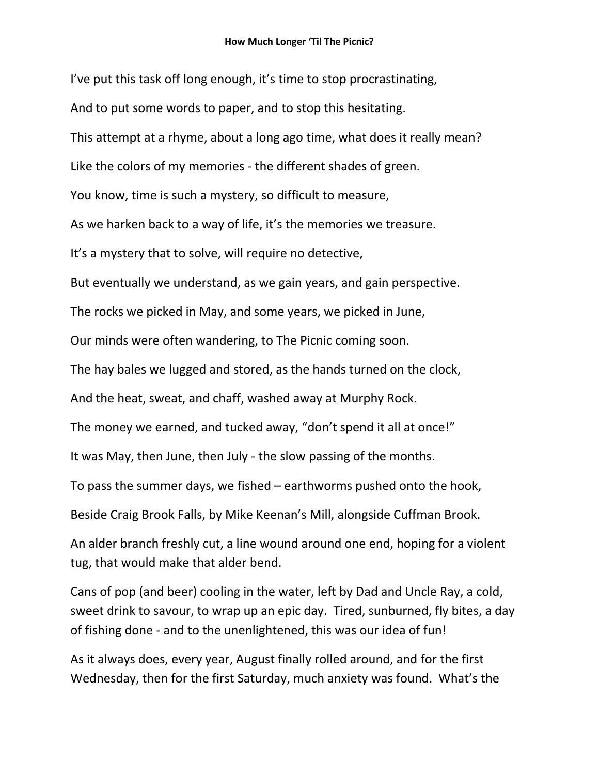I've put this task off long enough, it's time to stop procrastinating, And to put some words to paper, and to stop this hesitating. This attempt at a rhyme, about a long ago time, what does it really mean? Like the colors of my memories - the different shades of green. You know, time is such a mystery, so difficult to measure, As we harken back to a way of life, it's the memories we treasure. It's a mystery that to solve, will require no detective, But eventually we understand, as we gain years, and gain perspective. The rocks we picked in May, and some years, we picked in June, Our minds were often wandering, to The Picnic coming soon. The hay bales we lugged and stored, as the hands turned on the clock, And the heat, sweat, and chaff, washed away at Murphy Rock. The money we earned, and tucked away, "don't spend it all at once!" It was May, then June, then July - the slow passing of the months. To pass the summer days, we fished – earthworms pushed onto the hook, Beside Craig Brook Falls, by Mike Keenan's Mill, alongside Cuffman Brook. An alder branch freshly cut, a line wound around one end, hoping for a violent tug, that would make that alder bend. Cans of pop (and beer) cooling in the water, left by Dad and Uncle Ray, a cold, sweet drink to savour, to wrap up an epic day. Tired, sunburned, fly bites, a day of fishing done - and to the unenlightened, this was our idea of fun!

As it always does, every year, August finally rolled around, and for the first Wednesday, then for the first Saturday, much anxiety was found. What's the